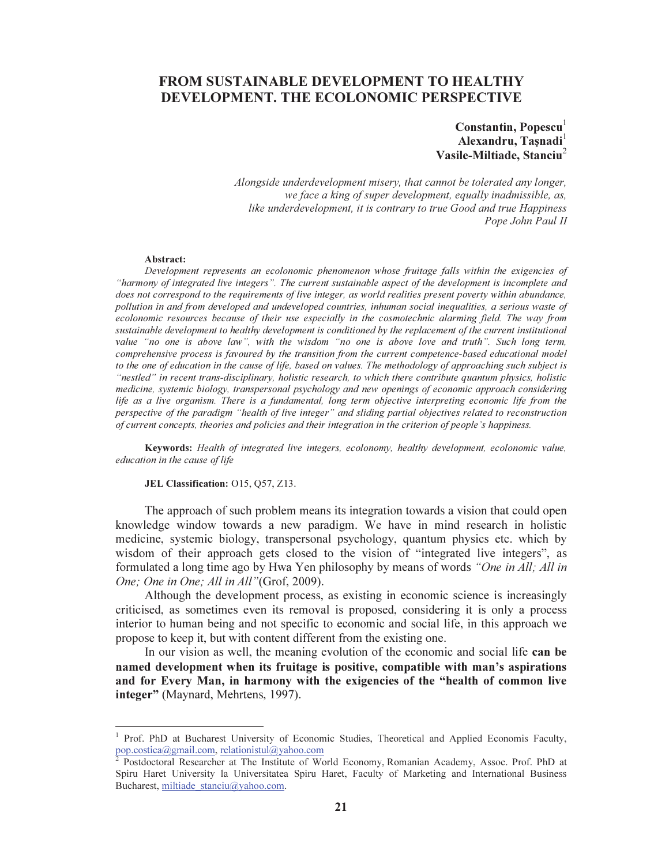# FROM SUSTAINABLE DEVELOPMENT TO HEALTHY DEVELOPMENT. THE ECOLONOMIC PERSPECTIVE

 $Constantin, Popescu<sup>1</sup>$ Alexandru, Taşnadi<sup>1</sup> Vasile-Miltiade, Stanciu<sup>2</sup>

Alongside underdevelopment misery, that cannot be tolerated any longer, we face a king of super development, equally inadmissible, as, like underdevelopment, it is contrary to true Good and true Happiness Pope John Paul II

#### Abstract:

Development represents an ecolonomic phenomenon whose fruitage falls within the exigencies of "harmony of integrated live integers". The current sustainable aspect of the development is incomplete and does not correspond to the requirements of live integer, as world realities present poverty within abundance, pollution in and from developed and undeveloped countries, inhuman social inequalities, a serious waste of ecolonomic resources because of their use especially in the cosmotechnic alarming field. The way from sustainable development to healthy development is conditioned by the replacement of the current institutional value "no one is above law", with the wisdom "no one is above love and truth". Such long term, comprehensive process is favoured by the transition from the current competence-based educational model to the one of education in the cause of life, based on values. The methodology of approaching such subject is "nestled" in recent trans-disciplinary, holistic research, to which there contribute quantum physics, holistic medicine, systemic biology, transpersonal psychology and new openings of economic approach considering life as a live organism. There is a fundamental, long term objective interpreting economic life from the perspective of the paradigm "health of live integer" and sliding partial objectives related to reconstruction of current concepts, theories and policies and their integration in the criterion of people's happiness.

Keywords: Health of integrated live integers, ecolonomy, healthy development, ecolonomic value, education in the cause of life

JEL Classification: O15, Q57, Z13.

The approach of such problem means its integration towards a vision that could open knowledge window towards a new paradigm. We have in mind research in holistic medicine, systemic biology, transpersonal psychology, quantum physics etc. which by wisdom of their approach gets closed to the vision of "integrated live integers", as formulated a long time ago by Hwa Yen philosophy by means of words *"One in All; All in One; One in One; All in All"*(Grof, 2009).

Although the development process, as existing in economic science is increasingly criticised, as sometimes even its removal is proposed, considering it is only a process interior to human being and not specific to economic and social life, in this approach we propose to keep it, but with content different from the existing one.

In our vision as well, the meaning evolution of the economic and social life can be named development when its fruitage is positive, compatible with man's aspirations and for Every Man, in harmony with the exigencies of the "health of common live integer" (Maynard, Mehrtens, 1997).

<sup>1</sup> Prof. PhD at Bucharest University of Economic Studies, Theoretical and Applied Economis Faculty, pop.costica@gmail.com, relationistul@yahoo.com 2

Postdoctoral Researcher at The Institute of World Economy, Romanian Academy, Assoc. Prof. PhD at Spiru Haret University la Universitatea Spiru Haret, Faculty of Marketing and International Business Bucharest, miltiade stanciu@yahoo.com.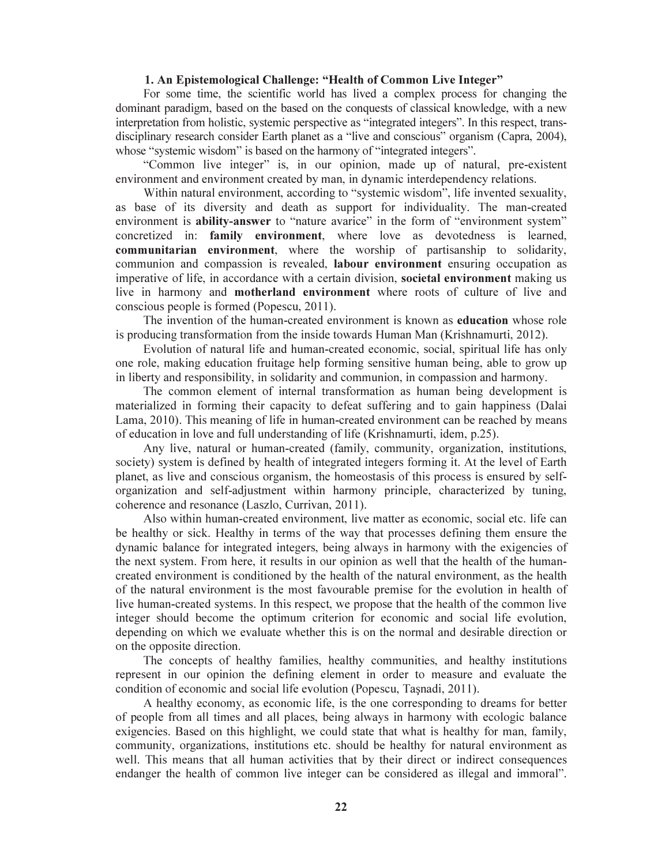## 1. An Epistemological Challenge: "Health of Common Live Integer"

For some time, the scientific world has lived a complex process for changing the dominant paradigm, based on the based on the conquests of classical knowledge, with a new interpretation from holistic, systemic perspective as "integrated integers". In this respect, transdisciplinary research consider Earth planet as a "live and conscious" organism (Capra, 2004), whose "systemic wisdom" is based on the harmony of "integrated integers".

"Common live integer" is, in our opinion, made up of natural, pre-existent environment and environment created by man, in dynamic interdependency relations.

Within natural environment, according to "systemic wisdom", life invented sexuality, as base of its diversity and death as support for individuality. The man-created environment is **ability-answer** to "nature avarice" in the form of "environment system" concretized in: family environment, where love as devotedness is learned, communitarian environment, where the worship of partisanship to solidarity, communion and compassion is revealed, labour environment ensuring occupation as imperative of life, in accordance with a certain division, societal environment making us live in harmony and motherland environment where roots of culture of live and conscious people is formed (Popescu, 2011).

The invention of the human-created environment is known as education whose role is producing transformation from the inside towards Human Man (Krishnamurti, 2012).

Evolution of natural life and human-created economic, social, spiritual life has only one role, making education fruitage help forming sensitive human being, able to grow up in liberty and responsibility, in solidarity and communion, in compassion and harmony.

The common element of internal transformation as human being development is materialized in forming their capacity to defeat suffering and to gain happiness (Dalai Lama, 2010). This meaning of life in human-created environment can be reached by means of education in love and full understanding of life (Krishnamurti, idem, p.25).

Any live, natural or human-created (family, community, organization, institutions, society) system is defined by health of integrated integers forming it. At the level of Earth planet, as live and conscious organism, the homeostasis of this process is ensured by selforganization and self-adjustment within harmony principle, characterized by tuning, coherence and resonance (Laszlo, Currivan, 2011).

Also within human-created environment, live matter as economic, social etc. life can be healthy or sick. Healthy in terms of the way that processes defining them ensure the dynamic balance for integrated integers, being always in harmony with the exigencies of the next system. From here, it results in our opinion as well that the health of the humancreated environment is conditioned by the health of the natural environment, as the health of the natural environment is the most favourable premise for the evolution in health of live human-created systems. In this respect, we propose that the health of the common live integer should become the optimum criterion for economic and social life evolution, depending on which we evaluate whether this is on the normal and desirable direction or on the opposite direction.

The concepts of healthy families, healthy communities, and healthy institutions represent in our opinion the defining element in order to measure and evaluate the condition of economic and social life evolution (Popescu, Taşnadi, 2011).

A healthy economy, as economic life, is the one corresponding to dreams for better of people from all times and all places, being always in harmony with ecologic balance exigencies. Based on this highlight, we could state that what is healthy for man, family, community, organizations, institutions etc. should be healthy for natural environment as well. This means that all human activities that by their direct or indirect consequences endanger the health of common live integer can be considered as illegal and immoral".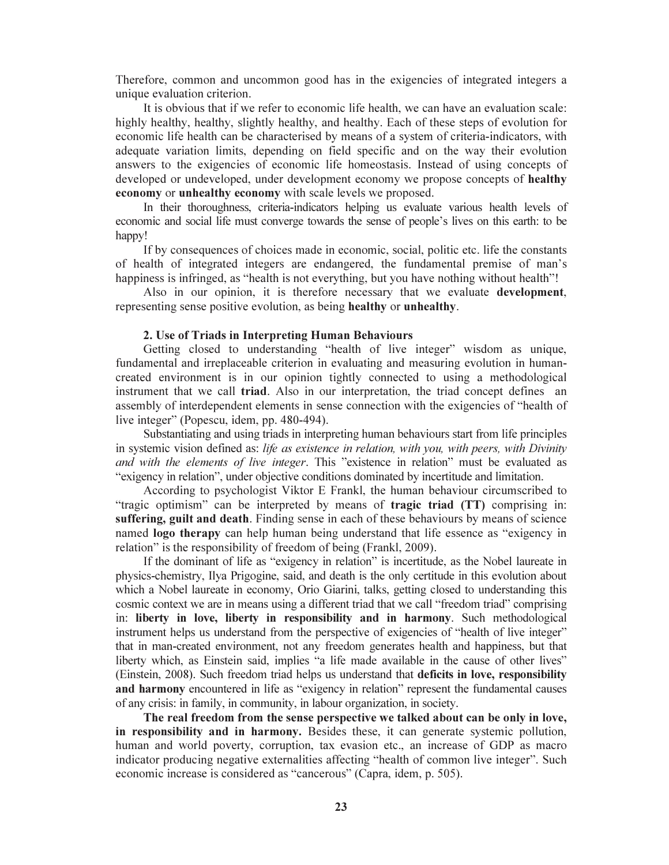Therefore, common and uncommon good has in the exigencies of integrated integers a unique evaluation criterion.

It is obvious that if we refer to economic life health, we can have an evaluation scale: highly healthy, healthy, slightly healthy, and healthy. Each of these steps of evolution for economic life health can be characterised by means of a system of criteria-indicators, with adequate variation limits, depending on field specific and on the way their evolution answers to the exigencies of economic life homeostasis. Instead of using concepts of developed or undeveloped, under development economy we propose concepts of healthy economy or unhealthy economy with scale levels we proposed.

In their thoroughness, criteria-indicators helping us evaluate various health levels of economic and social life must converge towards the sense of people's lives on this earth: to be happy!

If by consequences of choices made in economic, social, politic etc. life the constants of health of integrated integers are endangered, the fundamental premise of man's happiness is infringed, as "health is not everything, but you have nothing without health"!

Also in our opinion, it is therefore necessary that we evaluate development, representing sense positive evolution, as being healthy or unhealthy.

### 2. Use of Triads in Interpreting Human Behaviours

Getting closed to understanding "health of live integer" wisdom as unique, fundamental and irreplaceable criterion in evaluating and measuring evolution in humancreated environment is in our opinion tightly connected to using a methodological instrument that we call triad. Also in our interpretation, the triad concept defines an assembly of interdependent elements in sense connection with the exigencies of "health of live integer" (Popescu, idem, pp. 480-494).

Substantiating and using triads in interpreting human behaviours start from life principles in systemic vision defined as: *life as existence in relation, with you, with peers, with Divinity and with the elements of live integer*. This "existence in relation" must be evaluated as "exigency in relation", under objective conditions dominated by incertitude and limitation.

According to psychologist Viktor E Frankl, the human behaviour circumscribed to "tragic optimism" can be interpreted by means of tragic triad (TT) comprising in: suffering, guilt and death. Finding sense in each of these behaviours by means of science named logo therapy can help human being understand that life essence as "exigency in relation" is the responsibility of freedom of being (Frankl, 2009).

If the dominant of life as "exigency in relation" is incertitude, as the Nobel laureate in physics-chemistry, Ilya Prigogine, said, and death is the only certitude in this evolution about which a Nobel laureate in economy, Orio Giarini, talks, getting closed to understanding this cosmic context we are in means using a different triad that we call "freedom triad" comprising in: liberty in love, liberty in responsibility and in harmony. Such methodological instrument helps us understand from the perspective of exigencies of "health of live integer" that in man-created environment, not any freedom generates health and happiness, but that liberty which, as Einstein said, implies "a life made available in the cause of other lives" (Einstein, 2008). Such freedom triad helps us understand that deficits in love, responsibility and harmony encountered in life as "exigency in relation" represent the fundamental causes of any crisis: in family, in community, in labour organization, in society.

The real freedom from the sense perspective we talked about can be only in love, in responsibility and in harmony. Besides these, it can generate systemic pollution, human and world poverty, corruption, tax evasion etc., an increase of GDP as macro indicator producing negative externalities affecting "health of common live integer". Such economic increase is considered as "cancerous" (Capra, idem, p. 505).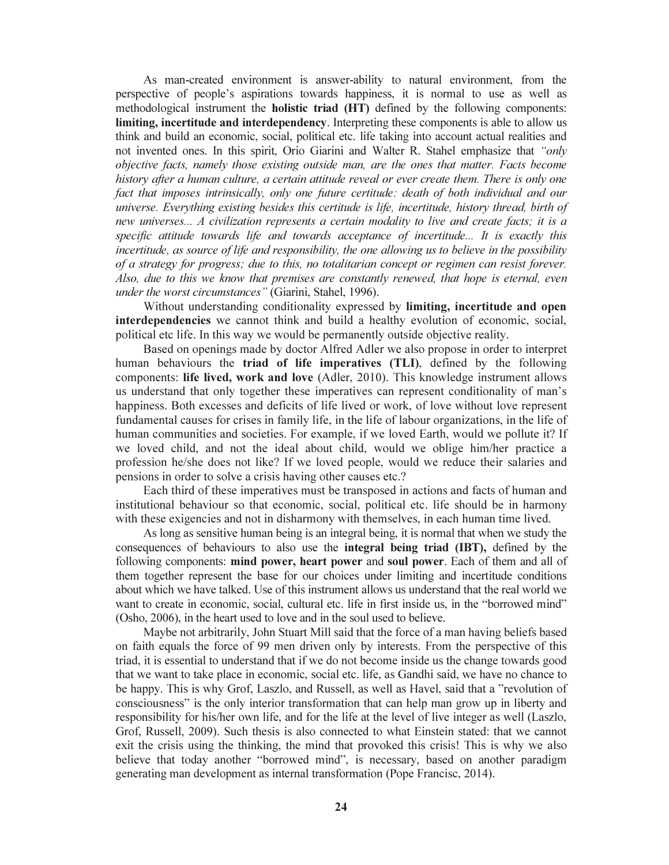As man-created environment is answer-ability to natural environment, from the perspective of people's aspirations towards happiness, it is normal to use as well as methodological instrument the holistic triad (HT) defined by the following components: limiting, incertitude and interdependency. Interpreting these components is able to allow us think and build an economic, social, political etc. life taking into account actual realities and not invented ones. In this spirit, Orio Giarini and Walter R. Stahel emphasize that *"only objective facts, namely those existing outside man, are the ones that matter. Facts become history after a human culture, a certain attitude reveal or ever create them. There is only one fact that imposes intrinsically, only one future certitude: death of both individual and our universe. Everything existing besides this certitude is life, incertitude, history thread, birth of new universes... A civilization represents a certain modality to live and create facts; it is a specific attitude towards life and towards acceptance of incertitude... It is exactly this incertitude, as source of life and responsibility, the one allowing us to believe in the possibility of a strategy for progress; due to this, no totalitarian concept or regimen can resist forever. Also, due to this we know that premises are constantly renewed, that hope is eternal, even under the worst circumstances"* (Giarini, Stahel, 1996).

Without understanding conditionality expressed by limiting, incertitude and open interdependencies we cannot think and build a healthy evolution of economic, social, political etc life. In this way we would be permanently outside objective reality.

Based on openings made by doctor Alfred Adler we also propose in order to interpret human behaviours the triad of life imperatives (TLI), defined by the following components: life lived, work and love (Adler, 2010). This knowledge instrument allows us understand that only together these imperatives can represent conditionality of man's happiness. Both excesses and deficits of life lived or work, of love without love represent fundamental causes for crises in family life, in the life of labour organizations, in the life of human communities and societies. For example, if we loved Earth, would we pollute it? If we loved child, and not the ideal about child, would we oblige him/her practice a profession he/she does not like? If we loved people, would we reduce their salaries and pensions in order to solve a crisis having other causes etc.?

Each third of these imperatives must be transposed in actions and facts of human and institutional behaviour so that economic, social, political etc. life should be in harmony with these exigencies and not in disharmony with themselves, in each human time lived.

As long as sensitive human being is an integral being, it is normal that when we study the consequences of behaviours to also use the integral being triad (IBT), defined by the following components: mind power, heart power and soul power. Each of them and all of them together represent the base for our choices under limiting and incertitude conditions about which we have talked. Use of this instrument allows us understand that the real world we want to create in economic, social, cultural etc. life in first inside us, in the "borrowed mind" (Osho, 2006), in the heart used to love and in the soul used to believe.

Maybe not arbitrarily, John Stuart Mill said that the force of a man having beliefs based on faith equals the force of 99 men driven only by interests. From the perspective of this triad, it is essential to understand that if we do not become inside us the change towards good that we want to take place in economic, social etc. life, as Gandhi said, we have no chance to be happy. This is why Grof, Laszlo, and Russell, as well as Havel, said that a "revolution of consciousness" is the only interior transformation that can help man grow up in liberty and responsibility for his/her own life, and for the life at the level of live integer as well (Laszlo, Grof, Russell, 2009). Such thesis is also connected to what Einstein stated: that we cannot exit the crisis using the thinking, the mind that provoked this crisis! This is why we also believe that today another "borrowed mind", is necessary, based on another paradigm generating man development as internal transformation (Pope Francisc, 2014).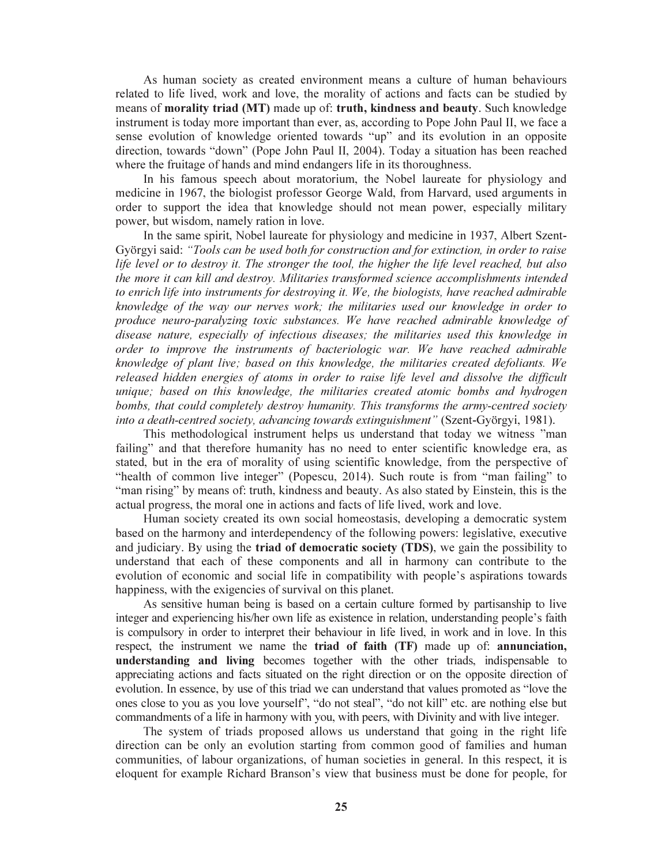As human society as created environment means a culture of human behaviours related to life lived, work and love, the morality of actions and facts can be studied by means of morality triad (MT) made up of: truth, kindness and beauty. Such knowledge instrument is today more important than ever, as, according to Pope John Paul II, we face a sense evolution of knowledge oriented towards "up" and its evolution in an opposite direction, towards "down" (Pope John Paul II, 2004). Today a situation has been reached where the fruitage of hands and mind endangers life in its thoroughness.

In his famous speech about moratorium, the Nobel laureate for physiology and medicine in 1967, the biologist professor George Wald, from Harvard, used arguments in order to support the idea that knowledge should not mean power, especially military power, but wisdom, namely ration in love.

In the same spirit, Nobel laureate for physiology and medicine in 1937, Albert Szent-Györgyi said: *"Tools can be used both for construction and for extinction, in order to raise life level or to destroy it. The stronger the tool, the higher the life level reached, but also the more it can kill and destroy. Militaries transformed science accomplishments intended to enrich life into instruments for destroying it. We, the biologists, have reached admirable knowledge of the way our nerves work; the militaries used our knowledge in order to produce neuro-paralyzing toxic substances. We have reached admirable knowledge of disease nature, especially of infectious diseases; the militaries used this knowledge in order to improve the instruments of bacteriologic war. We have reached admirable knowledge of plant live; based on this knowledge, the militaries created defoliants. We released hidden energies of atoms in order to raise life level and dissolve the difficult unique; based on this knowledge, the militaries created atomic bombs and hydrogen bombs, that could completely destroy humanity. This transforms the army-centred society into a death-centred society, advancing towards extinguishment"* (Szent-Györgyi, 1981).

This methodological instrument helps us understand that today we witness "man failing" and that therefore humanity has no need to enter scientific knowledge era, as stated, but in the era of morality of using scientific knowledge, from the perspective of "health of common live integer" (Popescu, 2014). Such route is from "man failing" to "man rising" by means of: truth, kindness and beauty. As also stated by Einstein, this is the actual progress, the moral one in actions and facts of life lived, work and love.

Human society created its own social homeostasis, developing a democratic system based on the harmony and interdependency of the following powers: legislative, executive and judiciary. By using the triad of democratic society (TDS), we gain the possibility to understand that each of these components and all in harmony can contribute to the evolution of economic and social life in compatibility with people's aspirations towards happiness, with the exigencies of survival on this planet.

As sensitive human being is based on a certain culture formed by partisanship to live integer and experiencing his/her own life as existence in relation, understanding people's faith is compulsory in order to interpret their behaviour in life lived, in work and in love. In this respect, the instrument we name the triad of faith (TF) made up of: annunciation, understanding and living becomes together with the other triads, indispensable to appreciating actions and facts situated on the right direction or on the opposite direction of evolution. In essence, by use of this triad we can understand that values promoted as "love the ones close to you as you love yourself", "do not steal", "do not kill" etc. are nothing else but commandments of a life in harmony with you, with peers, with Divinity and with live integer.

The system of triads proposed allows us understand that going in the right life direction can be only an evolution starting from common good of families and human communities, of labour organizations, of human societies in general. In this respect, it is eloquent for example Richard Branson's view that business must be done for people, for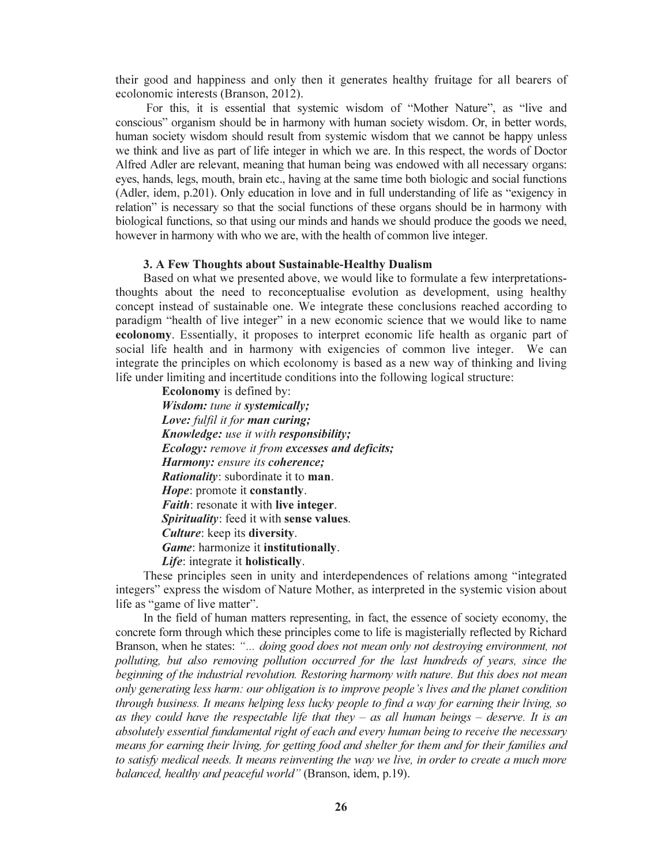their good and happiness and only then it generates healthy fruitage for all bearers of ecolonomic interests (Branson, 2012).

 For this, it is essential that systemic wisdom of "Mother Nature", as "live and conscious" organism should be in harmony with human society wisdom. Or, in better words, human society wisdom should result from systemic wisdom that we cannot be happy unless we think and live as part of life integer in which we are. In this respect, the words of Doctor Alfred Adler are relevant, meaning that human being was endowed with all necessary organs: eyes, hands, legs, mouth, brain etc., having at the same time both biologic and social functions (Adler, idem, p.201). Only education in love and in full understanding of life as "exigency in relation" is necessary so that the social functions of these organs should be in harmony with biological functions, so that using our minds and hands we should produce the goods we need, however in harmony with who we are, with the health of common live integer.

### 3. A Few Thoughts about Sustainable-Healthy Dualism

Based on what we presented above, we would like to formulate a few interpretationsthoughts about the need to reconceptualise evolution as development, using healthy concept instead of sustainable one. We integrate these conclusions reached according to paradigm "health of live integer" in a new economic science that we would like to name ecolonomy. Essentially, it proposes to interpret economic life health as organic part of social life health and in harmony with exigencies of common live integer. We can integrate the principles on which ecolonomy is based as a new way of thinking and living life under limiting and incertitude conditions into the following logical structure:

Ecolonomy is defined by: Wisdom: tune it systemically; Love: *fulfil it for* man curing; Knowledge: *use it with* responsibility; Ecology: *remove it from* excesses and deficits; Harmony: *ensure its* coherence; **Rationality:** subordinate it to **man**. Hope: promote it constantly. Faith: resonate it with live integer. Spirituality: feed it with sense values. Culture: keep its diversity. Game: harmonize it institutionally. Life: integrate it holistically.

These principles seen in unity and interdependences of relations among "integrated integers" express the wisdom of Nature Mother, as interpreted in the systemic vision about life as "game of live matter".

In the field of human matters representing, in fact, the essence of society economy, the concrete form through which these principles come to life is magisterially reflected by Richard Branson, when he states: *"… doing good does not mean only not destroying environment, not polluting, but also removing pollution occurred for the last hundreds of years, since the beginning of the industrial revolution. Restoring harmony with nature. But this does not mean only generating less harm: our obligation is to improve people's lives and the planet condition through business. It means helping less lucky people to find a way for earning their living, so as they could have the respectable life that they – as all human beings – deserve. It is an absolutely essential fundamental right of each and every human being to receive the necessary means for earning their living, for getting food and shelter for them and for their families and to satisfy medical needs. It means reinventing the way we live, in order to create a much more balanced, healthy and peaceful world"* (Branson, idem, p.19).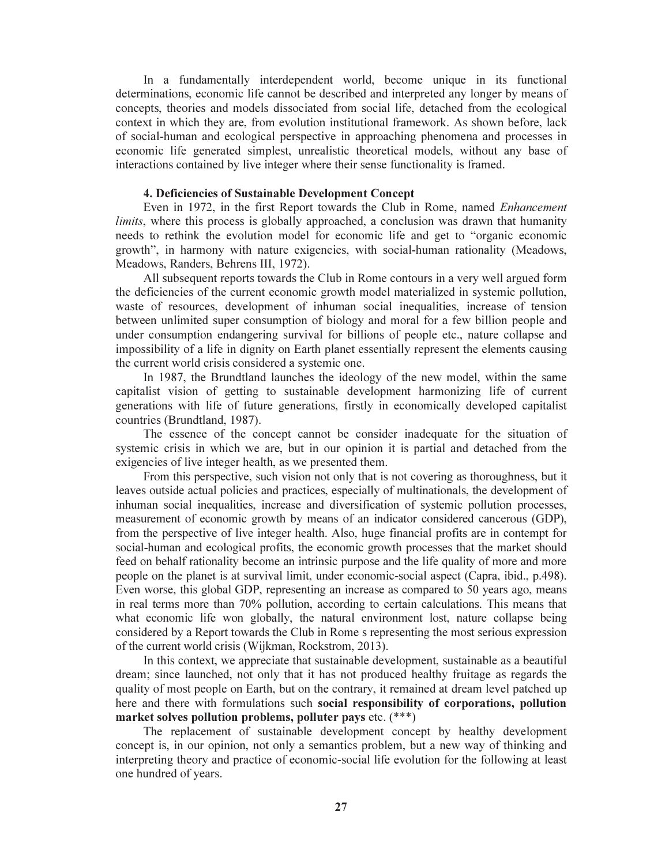In a fundamentally interdependent world, become unique in its functional determinations, economic life cannot be described and interpreted any longer by means of concepts, theories and models dissociated from social life, detached from the ecological context in which they are, from evolution institutional framework. As shown before, lack of social-human and ecological perspective in approaching phenomena and processes in economic life generated simplest, unrealistic theoretical models, without any base of interactions contained by live integer where their sense functionality is framed.

### 4. Deficiencies of Sustainable Development Concept

Even in 1972, in the first Report towards the Club in Rome, named *Enhancement limits*, where this process is globally approached, a conclusion was drawn that humanity needs to rethink the evolution model for economic life and get to "organic economic growth", in harmony with nature exigencies, with social-human rationality (Meadows, Meadows, Randers, Behrens III, 1972).

All subsequent reports towards the Club in Rome contours in a very well argued form the deficiencies of the current economic growth model materialized in systemic pollution, waste of resources, development of inhuman social inequalities, increase of tension between unlimited super consumption of biology and moral for a few billion people and under consumption endangering survival for billions of people etc., nature collapse and impossibility of a life in dignity on Earth planet essentially represent the elements causing the current world crisis considered a systemic one.

In 1987, the Brundtland launches the ideology of the new model, within the same capitalist vision of getting to sustainable development harmonizing life of current generations with life of future generations, firstly in economically developed capitalist countries (Brundtland, 1987).

The essence of the concept cannot be consider inadequate for the situation of systemic crisis in which we are, but in our opinion it is partial and detached from the exigencies of live integer health, as we presented them.

From this perspective, such vision not only that is not covering as thoroughness, but it leaves outside actual policies and practices, especially of multinationals, the development of inhuman social inequalities, increase and diversification of systemic pollution processes, measurement of economic growth by means of an indicator considered cancerous (GDP), from the perspective of live integer health. Also, huge financial profits are in contempt for social-human and ecological profits, the economic growth processes that the market should feed on behalf rationality become an intrinsic purpose and the life quality of more and more people on the planet is at survival limit, under economic-social aspect (Capra, ibid., p.498). Even worse, this global GDP, representing an increase as compared to 50 years ago, means in real terms more than 70% pollution, according to certain calculations. This means that what economic life won globally, the natural environment lost, nature collapse being considered by a Report towards the Club in Rome s representing the most serious expression of the current world crisis (Wijkman, Rockstrom, 2013).

In this context, we appreciate that sustainable development, sustainable as a beautiful dream; since launched, not only that it has not produced healthy fruitage as regards the quality of most people on Earth, but on the contrary, it remained at dream level patched up here and there with formulations such social responsibility of corporations, pollution market solves pollution problems, polluter pays etc. (\*\*\*)

The replacement of sustainable development concept by healthy development concept is, in our opinion, not only a semantics problem, but a new way of thinking and interpreting theory and practice of economic-social life evolution for the following at least one hundred of years.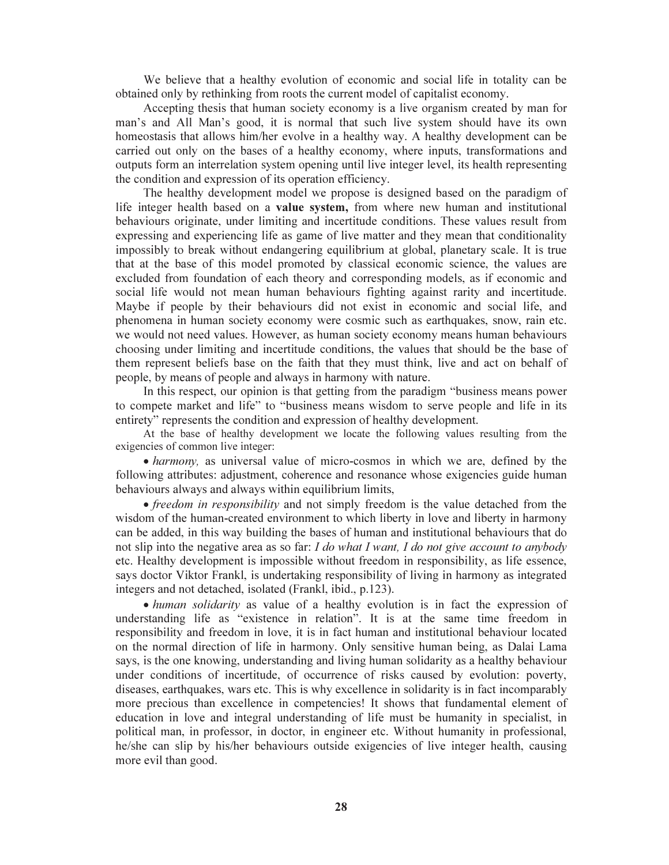We believe that a healthy evolution of economic and social life in totality can be obtained only by rethinking from roots the current model of capitalist economy.

Accepting thesis that human society economy is a live organism created by man for man's and All Man's good, it is normal that such live system should have its own homeostasis that allows him/her evolve in a healthy way. A healthy development can be carried out only on the bases of a healthy economy, where inputs, transformations and outputs form an interrelation system opening until live integer level, its health representing the condition and expression of its operation efficiency.

The healthy development model we propose is designed based on the paradigm of life integer health based on a value system, from where new human and institutional behaviours originate, under limiting and incertitude conditions. These values result from expressing and experiencing life as game of live matter and they mean that conditionality impossibly to break without endangering equilibrium at global, planetary scale. It is true that at the base of this model promoted by classical economic science, the values are excluded from foundation of each theory and corresponding models, as if economic and social life would not mean human behaviours fighting against rarity and incertitude. Maybe if people by their behaviours did not exist in economic and social life, and phenomena in human society economy were cosmic such as earthquakes, snow, rain etc. we would not need values. However, as human society economy means human behaviours choosing under limiting and incertitude conditions, the values that should be the base of them represent beliefs base on the faith that they must think, live and act on behalf of people, by means of people and always in harmony with nature.

In this respect, our opinion is that getting from the paradigm "business means power to compete market and life" to "business means wisdom to serve people and life in its entirety" represents the condition and expression of healthy development.

At the base of healthy development we locate the following values resulting from the exigencies of common live integer:

• *harmony,* as universal value of micro-cosmos in which we are, defined by the following attributes: adjustment, coherence and resonance whose exigencies guide human behaviours always and always within equilibrium limits,

• *freedom in responsibility* and not simply freedom is the value detached from the wisdom of the human-created environment to which liberty in love and liberty in harmony can be added, in this way building the bases of human and institutional behaviours that do not slip into the negative area as so far: *I do what I want, I do not give account to anybody* etc. Healthy development is impossible without freedom in responsibility, as life essence, says doctor Viktor Frankl, is undertaking responsibility of living in harmony as integrated integers and not detached, isolated (Frankl, ibid., p.123).

• *human solidarity* as value of a healthy evolution is in fact the expression of understanding life as "existence in relation". It is at the same time freedom in responsibility and freedom in love, it is in fact human and institutional behaviour located on the normal direction of life in harmony. Only sensitive human being, as Dalai Lama says, is the one knowing, understanding and living human solidarity as a healthy behaviour under conditions of incertitude, of occurrence of risks caused by evolution: poverty, diseases, earthquakes, wars etc. This is why excellence in solidarity is in fact incomparably more precious than excellence in competencies! It shows that fundamental element of education in love and integral understanding of life must be humanity in specialist, in political man, in professor, in doctor, in engineer etc. Without humanity in professional, he/she can slip by his/her behaviours outside exigencies of live integer health, causing more evil than good.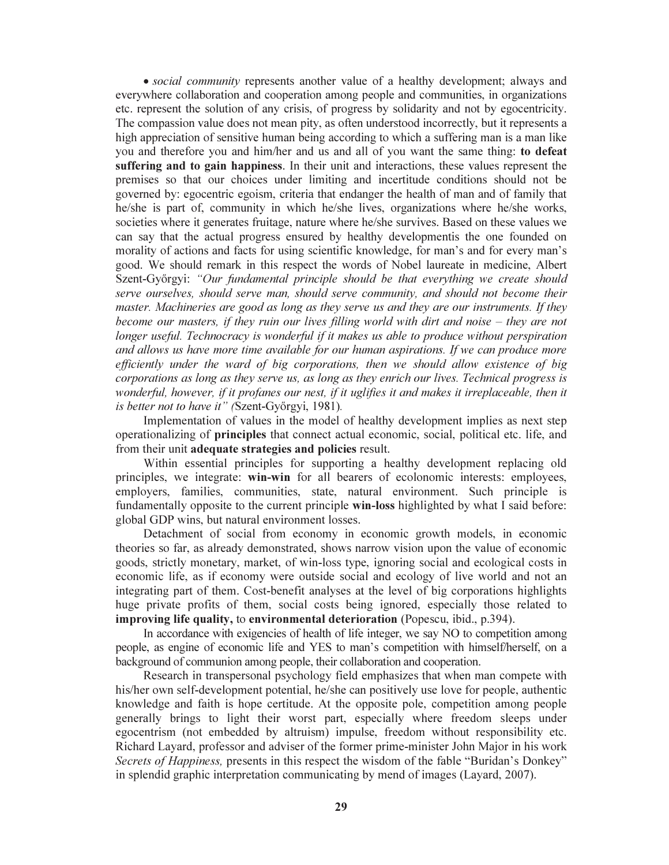• *social community* represents another value of a healthy development; always and everywhere collaboration and cooperation among people and communities, in organizations etc. represent the solution of any crisis, of progress by solidarity and not by egocentricity. The compassion value does not mean pity, as often understood incorrectly, but it represents a high appreciation of sensitive human being according to which a suffering man is a man like you and therefore you and him/her and us and all of you want the same thing: to defeat suffering and to gain happiness. In their unit and interactions, these values represent the premises so that our choices under limiting and incertitude conditions should not be governed by: egocentric egoism, criteria that endanger the health of man and of family that he/she is part of, community in which he/she lives, organizations where he/she works, societies where it generates fruitage, nature where he/she survives. Based on these values we can say that the actual progress ensured by healthy developmentis the one founded on morality of actions and facts for using scientific knowledge, for man's and for every man's good. We should remark in this respect the words of Nobel laureate in medicine, Albert Szent-Győrgyi: *"Our fundamental principle should be that everything we create should serve ourselves, should serve man, should serve community, and should not become their master. Machineries are good as long as they serve us and they are our instruments. If they become our masters, if they ruin our lives filling world with dirt and noise – they are not longer useful. Technocracy is wonderful if it makes us able to produce without perspiration and allows us have more time available for our human aspirations. If we can produce more efficiently under the ward of big corporations, then we should allow existence of big corporations as long as they serve us, as long as they enrich our lives. Technical progress is*  wonderful, however, if it profanes our nest, if it uglifies it and makes it irreplaceable, then it *is better not to have it" (*Szent-Győrgyi, 1981)*.* 

Implementation of values in the model of healthy development implies as next step operationalizing of principles that connect actual economic, social, political etc. life, and from their unit adequate strategies and policies result.

Within essential principles for supporting a healthy development replacing old principles, we integrate: win-win for all bearers of ecolonomic interests: employees, employers, families, communities, state, natural environment. Such principle is fundamentally opposite to the current principle win-loss highlighted by what I said before: global GDP wins, but natural environment losses.

Detachment of social from economy in economic growth models, in economic theories so far, as already demonstrated, shows narrow vision upon the value of economic goods, strictly monetary, market, of win-loss type, ignoring social and ecological costs in economic life, as if economy were outside social and ecology of live world and not an integrating part of them. Cost-benefit analyses at the level of big corporations highlights huge private profits of them, social costs being ignored, especially those related to improving life quality, to environmental deterioration (Popescu, ibid., p.394).

In accordance with exigencies of health of life integer, we say NO to competition among people, as engine of economic life and YES to man's competition with himself/herself, on a background of communion among people, their collaboration and cooperation.

Research in transpersonal psychology field emphasizes that when man compete with his/her own self-development potential, he/she can positively use love for people, authentic knowledge and faith is hope certitude. At the opposite pole, competition among people generally brings to light their worst part, especially where freedom sleeps under egocentrism (not embedded by altruism) impulse, freedom without responsibility etc. Richard Layard, professor and adviser of the former prime-minister John Major in his work *Secrets of Happiness,* presents in this respect the wisdom of the fable "Buridan's Donkey" in splendid graphic interpretation communicating by mend of images (Layard, 2007).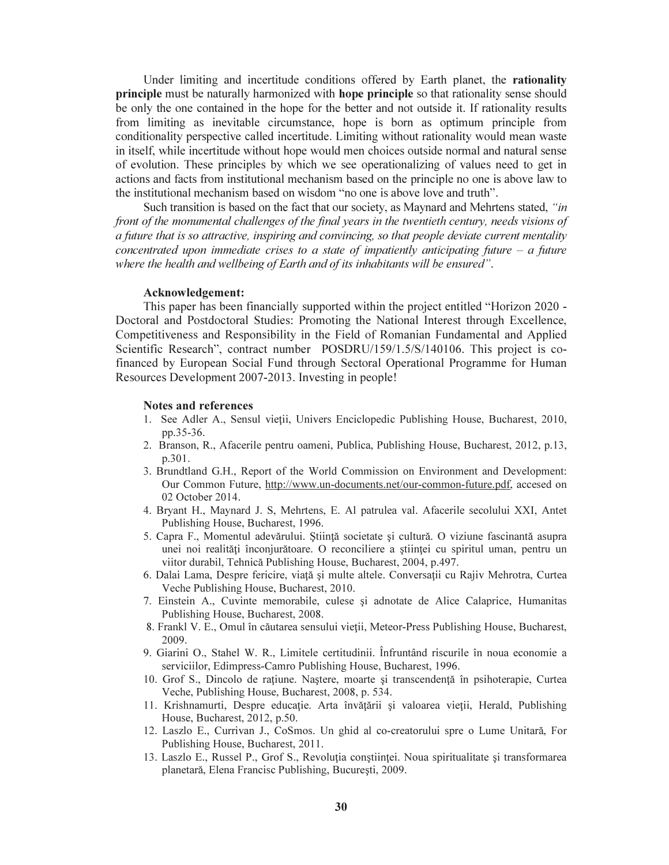Under limiting and incertitude conditions offered by Earth planet, the rationality principle must be naturally harmonized with hope principle so that rationality sense should be only the one contained in the hope for the better and not outside it. If rationality results from limiting as inevitable circumstance, hope is born as optimum principle from conditionality perspective called incertitude. Limiting without rationality would mean waste in itself, while incertitude without hope would men choices outside normal and natural sense of evolution. These principles by which we see operationalizing of values need to get in actions and facts from institutional mechanism based on the principle no one is above law to the institutional mechanism based on wisdom "no one is above love and truth".

Such transition is based on the fact that our society, as Maynard and Mehrtens stated, *"in front of the monumental challenges of the final years in the twentieth century, needs visions of a future that is so attractive, inspiring and convincing, so that people deviate current mentality concentrated upon immediate crises to a state of impatiently anticipating future – a future where the health and wellbeing of Earth and of its inhabitants will be ensured"*.

#### Acknowledgement:

This paper has been financially supported within the project entitled "Horizon 2020 - Doctoral and Postdoctoral Studies: Promoting the National Interest through Excellence, Competitiveness and Responsibility in the Field of Romanian Fundamental and Applied Scientific Research", contract number POSDRU/159/1.5/S/140106. This project is cofinanced by European Social Fund through Sectoral Operational Programme for Human Resources Development 2007-2013. Investing in people!

#### Notes and references

- 1. See Adler A., Sensul vietii, Univers Enciclopedic Publishing House, Bucharest, 2010, pp.35-36.
- 2. Branson, R., Afacerile pentru oameni, Publica, Publishing House, Bucharest, 2012, p.13, p.301.
- 3. Brundtland G.H., Report of the World Commission on Environment and Development: Our Common Future, http://www.un-documents.net/our-common-future.pdf, accesed on 02 October 2014.
- 4. Bryant H., Maynard J. S, Mehrtens, E. Al patrulea val. Afacerile secolului XXI, Antet Publishing House, Bucharest, 1996.
- 5. Capra F., Momentul adevărului. Ştiinţă societate şi cultură. O viziune fascinantă asupra unei noi realități înconjurătoare. O reconciliere a științei cu spiritul uman, pentru un viitor durabil, Tehnică Publishing House, Bucharest, 2004, p.497.
- 6. Dalai Lama, Despre fericire, viaţă şi multe altele. Conversaţii cu Rajiv Mehrotra, Curtea Veche Publishing House, Bucharest, 2010.
- 7. Einstein A., Cuvinte memorabile, culese şi adnotate de Alice Calaprice, Humanitas Publishing House, Bucharest, 2008.
- 8. Frankl V. E., Omul în căutarea sensului vieţii, Meteor-Press Publishing House, Bucharest, 2009.
- 9. Giarini O., Stahel W. R., Limitele certitudinii. Înfruntând riscurile în noua economie a serviciilor, Edimpress-Camro Publishing House, Bucharest, 1996.
- 10. Grof S., Dincolo de raţiune. Naştere, moarte şi transcendenţă în psihoterapie, Curtea Veche, Publishing House, Bucharest, 2008, p. 534.
- 11. Krishnamurti, Despre educaţie. Arta învăţării şi valoarea vieţii, Herald, Publishing House, Bucharest, 2012, p.50.
- 12. Laszlo E., Currivan J., CoSmos. Un ghid al co-creatorului spre o Lume Unitară, For Publishing House, Bucharest, 2011.
- 13. Laszlo E., Russel P., Grof S., Revoluţia conştiinţei. Noua spiritualitate şi transformarea planetară, Elena Francisc Publishing, Bucureşti, 2009.